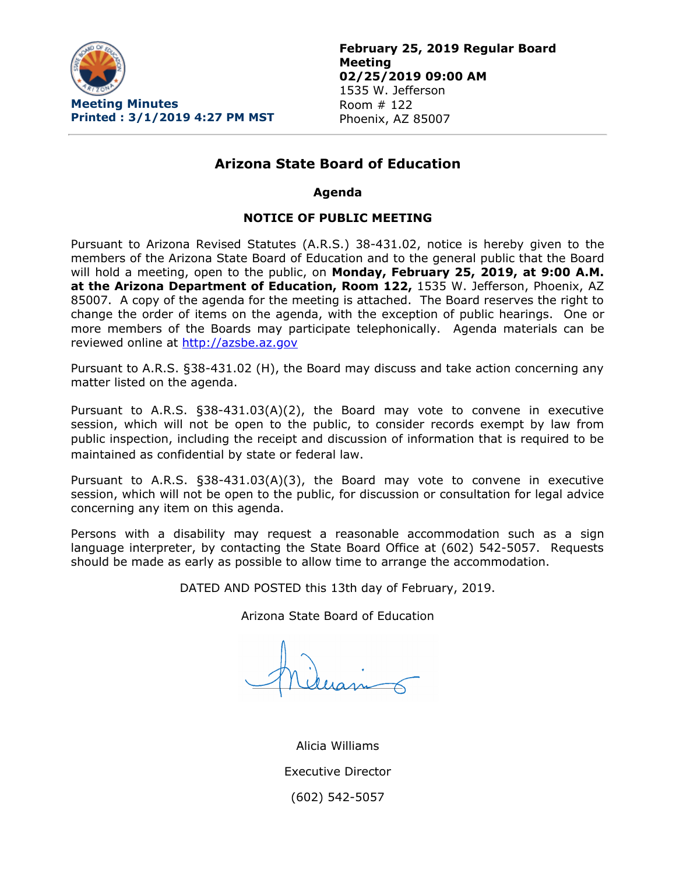

# **Arizona State Board of Education**

### **Agenda**

### **NOTICE OF PUBLIC MEETING**

Pursuant to Arizona Revised Statutes (A.R.S.) 38-431.02, notice is hereby given to the members of the Arizona State Board of Education and to the general public that the Board will hold a meeting, open to the public, on **Monday, February 25, 2019, at 9:00 A.M. at the Arizona Department of Education, Room 122,** 1535 W. Jefferson, Phoenix, AZ 85007. A copy of the agenda for the meeting is attached. The Board reserves the right to change the order of items on the agenda, with the exception of public hearings. One or more members of the Boards may participate telephonically. Agenda materials can be reviewed online at [http://azsbe.az.gov](http://azsbe.az.gov/)

Pursuant to A.R.S. §38-431.02 (H), the Board may discuss and take action concerning any matter listed on the agenda.

Pursuant to A.R.S. §38-431.03(A)(2), the Board may vote to convene in executive session, which will not be open to the public, to consider records exempt by law from public inspection, including the receipt and discussion of information that is required to be maintained as confidential by state or federal law.

Pursuant to A.R.S. §38-431.03(A)(3), the Board may vote to convene in executive session, which will not be open to the public, for discussion or consultation for legal advice concerning any item on this agenda.

Persons with a disability may request a reasonable accommodation such as a sign language interpreter, by contacting the State Board Office at (602) 542-5057. Requests should be made as early as possible to allow time to arrange the accommodation.

DATED AND POSTED this 13th day of February, 2019.

Arizona State Board of Education

Alicia Williams Executive Director (602) 542-5057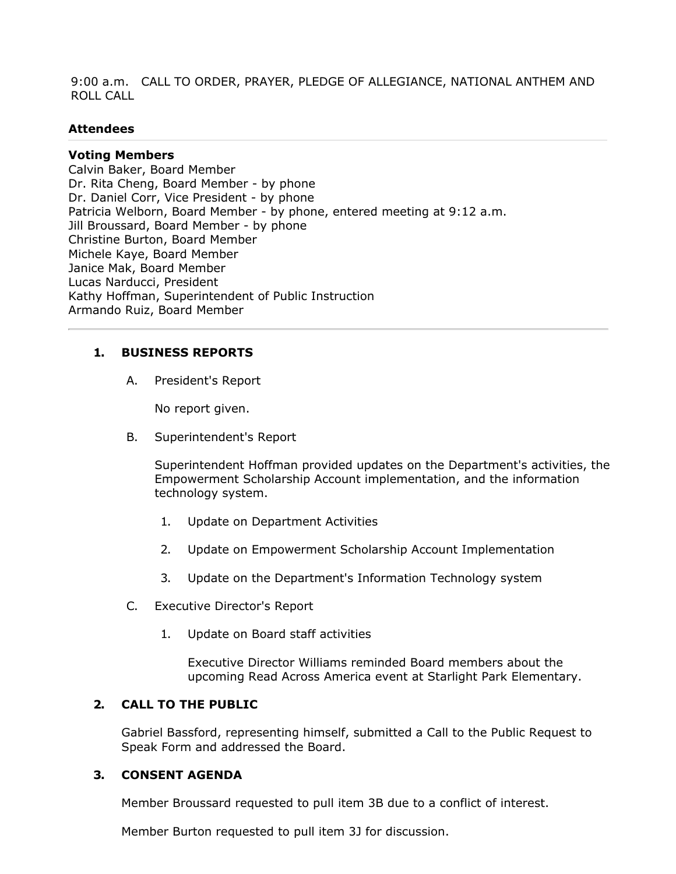9:00 a.m. CALL TO ORDER, PRAYER, PLEDGE OF ALLEGIANCE, NATIONAL ANTHEM AND ROLL CALL

### **Attendees**

### **Voting Members**

Calvin Baker, Board Member Dr. Rita Cheng, Board Member - by phone Dr. Daniel Corr, Vice President - by phone Patricia Welborn, Board Member - by phone, entered meeting at 9:12 a.m. Jill Broussard, Board Member - by phone Christine Burton, Board Member Michele Kaye, Board Member Janice Mak, Board Member Lucas Narducci, President Kathy Hoffman, Superintendent of Public Instruction Armando Ruiz, Board Member

# **1. BUSINESS REPORTS**

A. President's Report

No report given.

B. Superintendent's Report

Superintendent Hoffman provided updates on the Department's activities, the Empowerment Scholarship Account implementation, and the information technology system.

- 1. Update on Department Activities
- 2. Update on Empowerment Scholarship Account Implementation
- 3. Update on the Department's Information Technology system
- C. Executive Director's Report
	- 1. Update on Board staff activities

Executive Director Williams reminded Board members about the upcoming Read Across America event at Starlight Park Elementary.

# **2. CALL TO THE PUBLIC**

Gabriel Bassford, representing himself, submitted a Call to the Public Request to Speak Form and addressed the Board.

### **3. CONSENT AGENDA**

Member Broussard requested to pull item 3B due to a conflict of interest.

Member Burton requested to pull item 3J for discussion.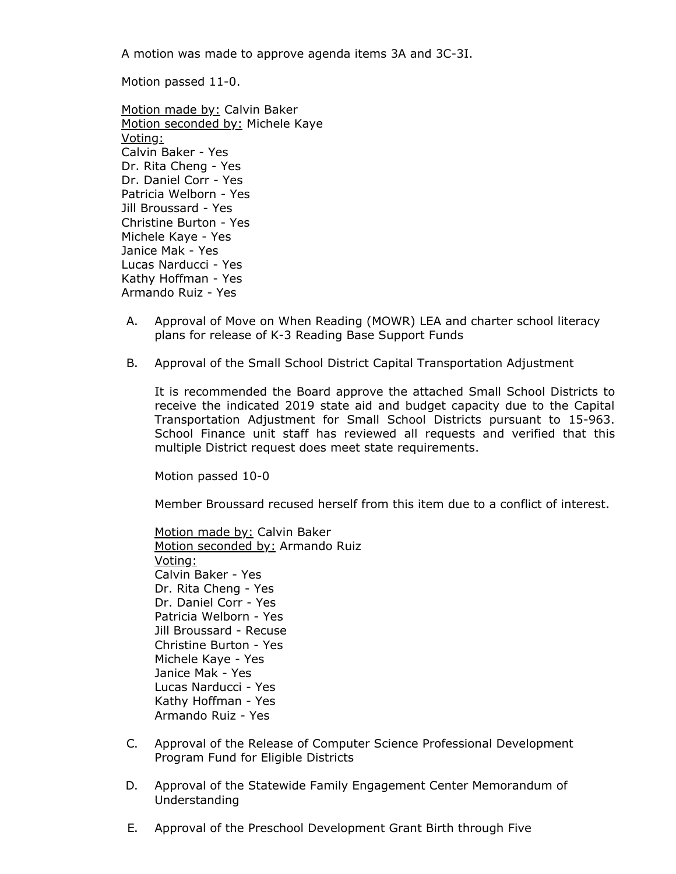A motion was made to approve agenda items 3A and 3C-3I.

Motion passed 11-0.

Motion made by: Calvin Baker Motion seconded by: Michele Kaye Voting: Calvin Baker - Yes Dr. Rita Cheng - Yes Dr. Daniel Corr - Yes Patricia Welborn - Yes Jill Broussard - Yes Christine Burton - Yes Michele Kaye - Yes Janice Mak - Yes Lucas Narducci - Yes Kathy Hoffman - Yes Armando Ruiz - Yes

- A. Approval of Move on When Reading (MOWR) LEA and charter school literacy plans for release of K-3 Reading Base Support Funds
- B. Approval of the Small School District Capital Transportation Adjustment

It is recommended the Board approve the attached Small School Districts to receive the indicated 2019 state aid and budget capacity due to the Capital Transportation Adjustment for Small School Districts pursuant to 15-963. School Finance unit staff has reviewed all requests and verified that this multiple District request does meet state requirements.

Motion passed 10-0

Member Broussard recused herself from this item due to a conflict of interest.

Motion made by: Calvin Baker Motion seconded by: Armando Ruiz Voting: Calvin Baker - Yes Dr. Rita Cheng - Yes Dr. Daniel Corr - Yes Patricia Welborn - Yes Jill Broussard - Recuse Christine Burton - Yes Michele Kaye - Yes Janice Mak - Yes Lucas Narducci - Yes Kathy Hoffman - Yes Armando Ruiz - Yes

- C. Approval of the Release of Computer Science Professional Development Program Fund for Eligible Districts
- D. Approval of the Statewide Family Engagement Center Memorandum of Understanding
- E. Approval of the Preschool Development Grant Birth through Five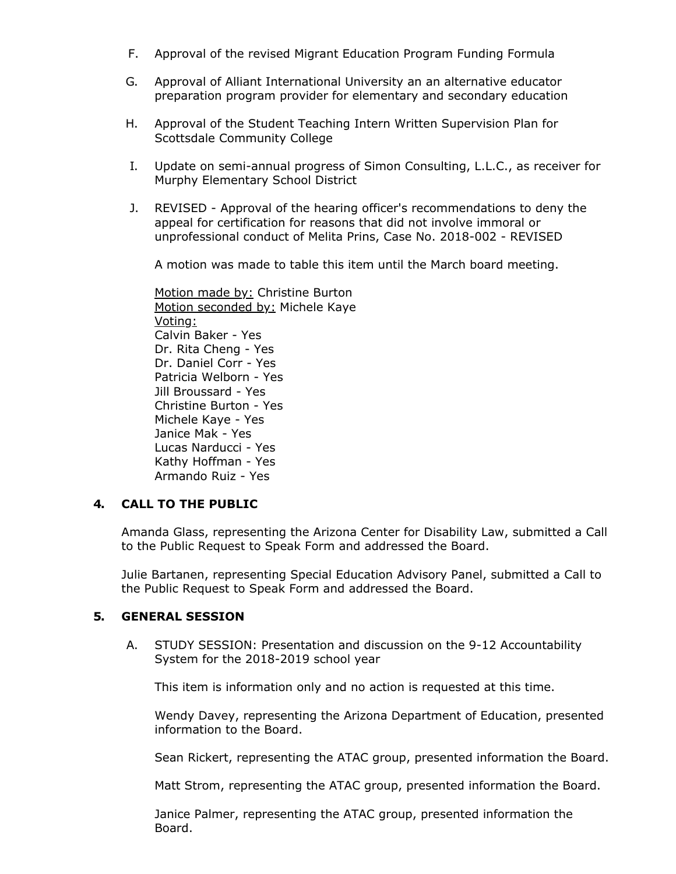- F. Approval of the revised Migrant Education Program Funding Formula
- G. Approval of Alliant International University an an alternative educator preparation program provider for elementary and secondary education
- H. Approval of the Student Teaching Intern Written Supervision Plan for Scottsdale Community College
- I. Update on semi-annual progress of Simon Consulting, L.L.C., as receiver for Murphy Elementary School District
- J. REVISED Approval of the hearing officer's recommendations to deny the appeal for certification for reasons that did not involve immoral or unprofessional conduct of Melita Prins, Case No. 2018-002 - REVISED

A motion was made to table this item until the March board meeting.

Motion made by: Christine Burton Motion seconded by: Michele Kaye Voting: Calvin Baker - Yes Dr. Rita Cheng - Yes Dr. Daniel Corr - Yes Patricia Welborn - Yes Jill Broussard - Yes Christine Burton - Yes Michele Kaye - Yes Janice Mak - Yes Lucas Narducci - Yes Kathy Hoffman - Yes Armando Ruiz - Yes

# **4. CALL TO THE PUBLIC**

Amanda Glass, representing the Arizona Center for Disability Law, submitted a Call to the Public Request to Speak Form and addressed the Board.

Julie Bartanen, representing Special Education Advisory Panel, submitted a Call to the Public Request to Speak Form and addressed the Board.

# **5. GENERAL SESSION**

A. STUDY SESSION: Presentation and discussion on the 9-12 Accountability System for the 2018-2019 school year

This item is information only and no action is requested at this time.

Wendy Davey, representing the Arizona Department of Education, presented information to the Board.

Sean Rickert, representing the ATAC group, presented information the Board.

Matt Strom, representing the ATAC group, presented information the Board.

Janice Palmer, representing the ATAC group, presented information the Board.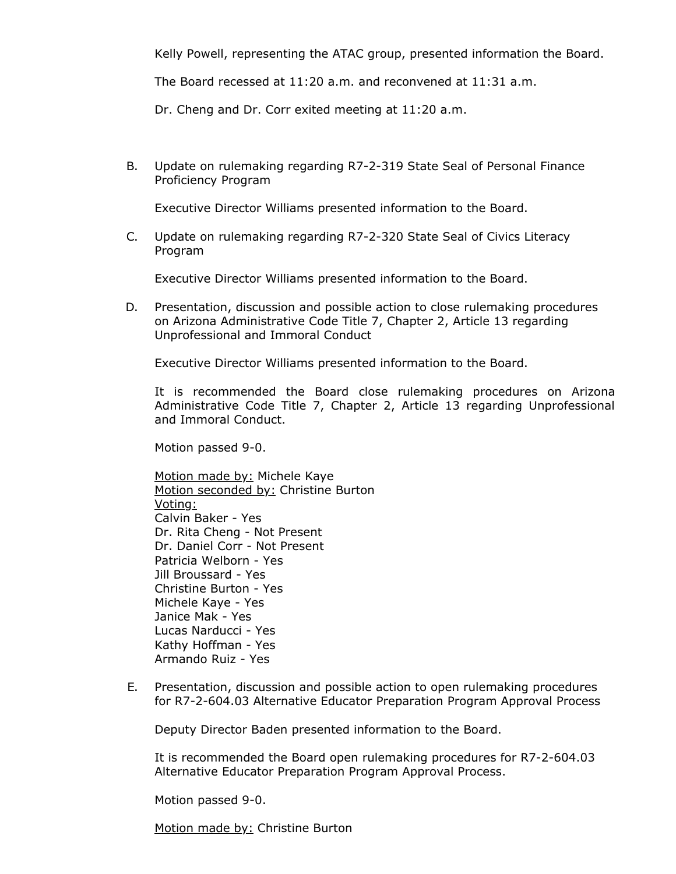Kelly Powell, representing the ATAC group, presented information the Board.

The Board recessed at 11:20 a.m. and reconvened at 11:31 a.m.

Dr. Cheng and Dr. Corr exited meeting at 11:20 a.m.

B. Update on rulemaking regarding R7-2-319 State Seal of Personal Finance Proficiency Program

Executive Director Williams presented information to the Board.

C. Update on rulemaking regarding R7-2-320 State Seal of Civics Literacy Program

Executive Director Williams presented information to the Board.

D. Presentation, discussion and possible action to close rulemaking procedures on Arizona Administrative Code Title 7, Chapter 2, Article 13 regarding Unprofessional and Immoral Conduct

Executive Director Williams presented information to the Board.

It is recommended the Board close rulemaking procedures on Arizona Administrative Code Title 7, Chapter 2, Article 13 regarding Unprofessional and Immoral Conduct.

Motion passed 9-0.

Motion made by: Michele Kaye Motion seconded by: Christine Burton Voting: Calvin Baker - Yes Dr. Rita Cheng - Not Present Dr. Daniel Corr - Not Present Patricia Welborn - Yes Jill Broussard - Yes Christine Burton - Yes Michele Kaye - Yes Janice Mak - Yes Lucas Narducci - Yes Kathy Hoffman - Yes Armando Ruiz - Yes

E. Presentation, discussion and possible action to open rulemaking procedures for R7-2-604.03 Alternative Educator Preparation Program Approval Process

Deputy Director Baden presented information to the Board.

It is recommended the Board open rulemaking procedures for R7-2-604.03 Alternative Educator Preparation Program Approval Process.

Motion passed 9-0.

Motion made by: Christine Burton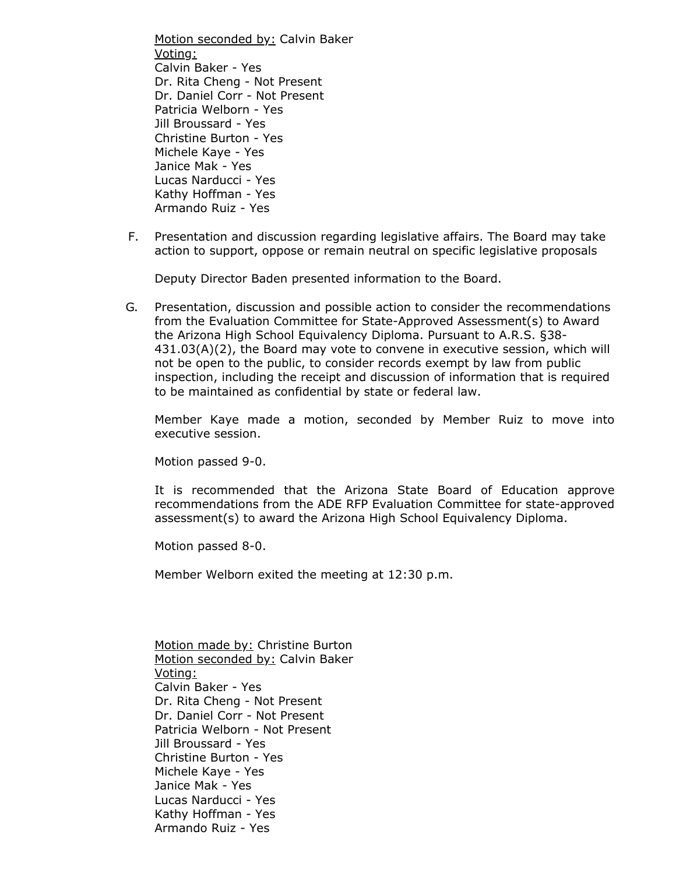Motion seconded by: Calvin Baker Voting: Calvin Baker - Yes Dr. Rita Cheng - Not Present Dr. Daniel Corr - Not Present Patricia Welborn - Yes Jill Broussard - Yes Christine Burton - Yes Michele Kaye - Yes Janice Mak - Yes Lucas Narducci - Yes Kathy Hoffman - Yes Armando Ruiz - Yes

F. Presentation and discussion regarding legislative affairs. The Board may take action to support, oppose or remain neutral on specific legislative proposals

Deputy Director Baden presented information to the Board.

G. Presentation, discussion and possible action to consider the recommendations from the Evaluation Committee for State-Approved Assessment(s) to Award the Arizona High School Equivalency Diploma. Pursuant to A.R.S. §38- 431.03(A)(2), the Board may vote to convene in executive session, which will not be open to the public, to consider records exempt by law from public inspection, including the receipt and discussion of information that is required to be maintained as confidential by state or federal law.

Member Kaye made a motion, seconded by Member Ruiz to move into executive session.

Motion passed 9-0.

It is recommended that the Arizona State Board of Education approve recommendations from the ADE RFP Evaluation Committee for state-approved assessment(s) to award the Arizona High School Equivalency Diploma.

Motion passed 8-0.

Member Welborn exited the meeting at 12:30 p.m.

Motion made by: Christine Burton Motion seconded by: Calvin Baker Voting: Calvin Baker - Yes Dr. Rita Cheng - Not Present Dr. Daniel Corr - Not Present Patricia Welborn - Not Present Jill Broussard - Yes Christine Burton - Yes Michele Kaye - Yes Janice Mak - Yes Lucas Narducci - Yes Kathy Hoffman - Yes Armando Ruiz - Yes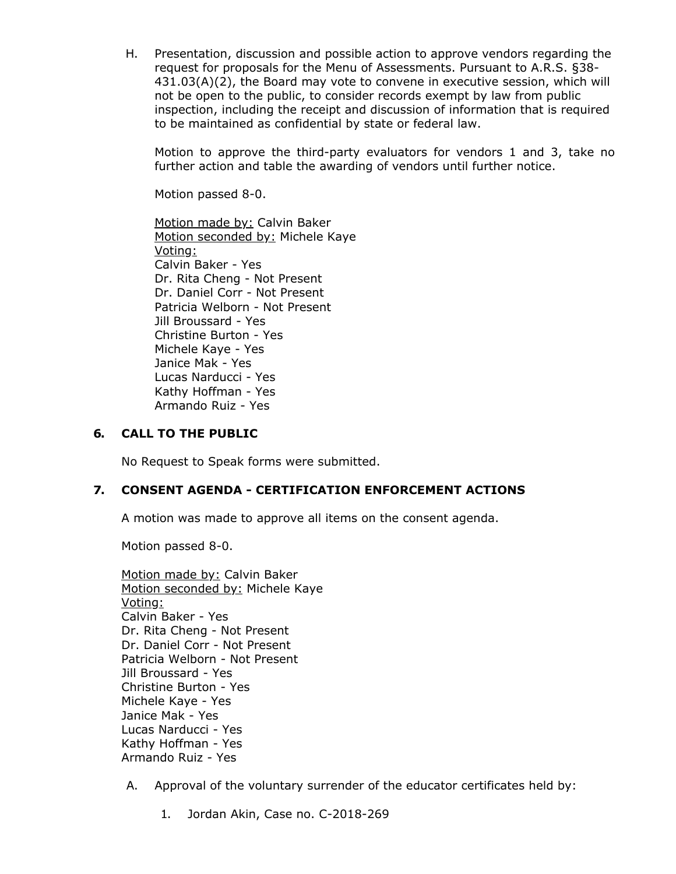H. Presentation, discussion and possible action to approve vendors regarding the request for proposals for the Menu of Assessments . Pursuant to A.R.S. §38- 431.03(A)(2), the Board may vote to convene in executive session, which will not be open to the public, to consider records exempt by law from public inspection, including the receipt and discussion of information that is required to be maintained as confidential by state or federal law.

Motion to approve the third-party evaluators for vendors 1 and 3, take no further action and table the awarding of vendors until further notice.

Motion passed 8-0.

Motion made by: Calvin Baker Motion seconded by: Michele Kaye Voting: Calvin Baker - Yes Dr. Rita Cheng - Not Present Dr. Daniel Corr - Not Present Patricia Welborn - Not Present Jill Broussard - Yes Christine Burton - Yes Michele Kaye - Yes Janice Mak - Yes Lucas Narducci - Yes Kathy Hoffman - Yes Armando Ruiz - Yes

# **6. CALL TO THE PUBLIC**

No Request to Speak forms were submitted.

# **7. CONSENT AGENDA - CERTIFICATION ENFORCEMENT ACTIONS**

A motion was made to approve all items on the consent agenda.

Motion passed 8-0.

| Motion made by: Calvin Baker     |
|----------------------------------|
| Motion seconded by: Michele Kaye |
| <u>Voting:</u>                   |
| Calvin Baker - Yes               |
| Dr. Rita Cheng - Not Present     |
| Dr. Daniel Corr - Not Present    |
| Patricia Welborn - Not Present   |
| Jill Broussard - Yes             |
| Christine Burton - Yes           |
| Michele Kaye - Yes               |
| Janice Mak - Yes                 |
| Lucas Narducci - Yes             |
| Kathy Hoffman - Yes              |
| Armando Ruiz - Yes               |

- A. Approval of the voluntary surrender of the educator certificates held by:
	- 1. Jordan Akin, Case no. C-2018-269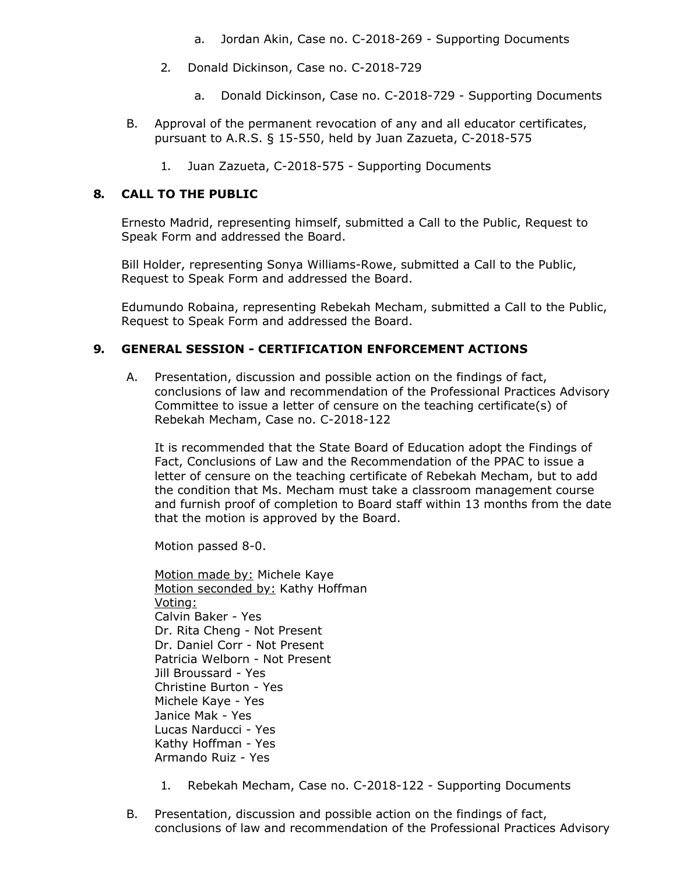- a. Jordan Akin, Case no. C-2018-269 Supporting Documents
- 2. Donald Dickinson, Case no. C-2018-729
	- a. Donald Dickinson, Case no. C-2018-729 Supporting Documents
- B. Approval of the permanent revocation of any and all educator certificates, pursuant to A.R.S. § 15-550, held by Juan Zazueta, C-2018-575
	- 1. Juan Zazueta, C-2018-575 Supporting Documents

# **8. CALL TO THE PUBLIC**

Ernesto Madrid, representing himself, submitted a Call to the Public, Request to Speak Form and addressed the Board.

Bill Holder, representing Sonya Williams-Rowe, submitted a Call to the Public, Request to Speak Form and addressed the Board.

Edumundo Robaina, representing Rebekah Mecham, submitted a Call to the Public, Request to Speak Form and addressed the Board.

### **9. GENERAL SESSION - CERTIFICATION ENFORCEMENT ACTIONS**

A. Presentation, discussion and possible action on the findings of fact, conclusions of law and recommendation of the Professional Practices Advisory Committee to issue a letter of censure on the teaching certificate(s) of Rebekah Mecham, Case no. C-2018-122

It is recommended that the State Board of Education adopt the Findings of Fact, Conclusions of Law and the Recommendation of the PPAC to issue a letter of censure on the teaching certificate of Rebekah Mecham, but to add the condition that Ms. Mecham must take a classroom management course and furnish proof of completion to Board staff within 13 months from the date that the motion is approved by the Board.

Motion passed 8-0.

Motion made by: Michele Kaye Motion seconded by: Kathy Hoffman Voting: Calvin Baker - Yes Dr. Rita Cheng - Not Present Dr. Daniel Corr - Not Present Patricia Welborn - Not Present Jill Broussard - Yes Christine Burton - Yes Michele Kaye - Yes Janice Mak - Yes Lucas Narducci - Yes Kathy Hoffman - Yes Armando Ruiz - Yes

- 1. Rebekah Mecham, Case no. C-2018-122 Supporting Documents
- B. Presentation, discussion and possible action on the findings of fact, conclusions of law and recommendation of the Professional Practices Advisory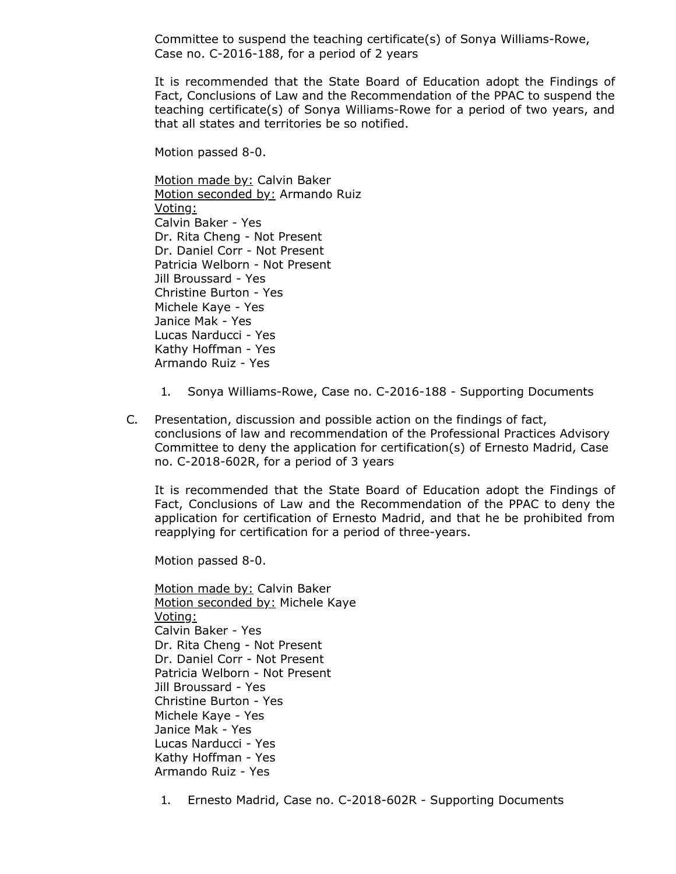Committee to suspend the teaching certificate(s) of Sonya Williams-Rowe, Case no. C-2016-188, for a period of 2 years

It is recommended that the State Board of Education adopt the Findings of Fact, Conclusions of Law and the Recommendation of the PPAC to suspend the teaching certificate(s) of Sonya Williams-Rowe for a period of two years, and that all states and territories be so notified.

Motion passed 8-0.

Motion made by: Calvin Baker Motion seconded by: Armando Ruiz Voting: Calvin Baker - Yes Dr. Rita Cheng - Not Present Dr. Daniel Corr - Not Present Patricia Welborn - Not Present Jill Broussard - Yes Christine Burton - Yes Michele Kaye - Yes Janice Mak - Yes Lucas Narducci - Yes Kathy Hoffman - Yes Armando Ruiz - Yes

- 1. Sonya Williams-Rowe, Case no. C-2016-188 Supporting Documents
- C. Presentation, discussion and possible action on the findings of fact, conclusions of law and recommendation of the Professional Practices Advisory Committee to deny the application for certification(s) of Ernesto Madrid, Case no. C-2018-602R, for a period of 3 years

It is recommended that the State Board of Education adopt the Findings of Fact, Conclusions of Law and the Recommendation of the PPAC to deny the application for certification of Ernesto Madrid, and that he be prohibited from reapplying for certification for a period of three-years.

Motion passed 8-0.

Motion made by: Calvin Baker Motion seconded by: Michele Kaye Voting: Calvin Baker - Yes Dr. Rita Cheng - Not Present Dr. Daniel Corr - Not Present Patricia Welborn - Not Present Jill Broussard - Yes Christine Burton - Yes Michele Kaye - Yes Janice Mak - Yes Lucas Narducci - Yes Kathy Hoffman - Yes Armando Ruiz - Yes

1. Ernesto Madrid, Case no. C-2018-602R - Supporting Documents